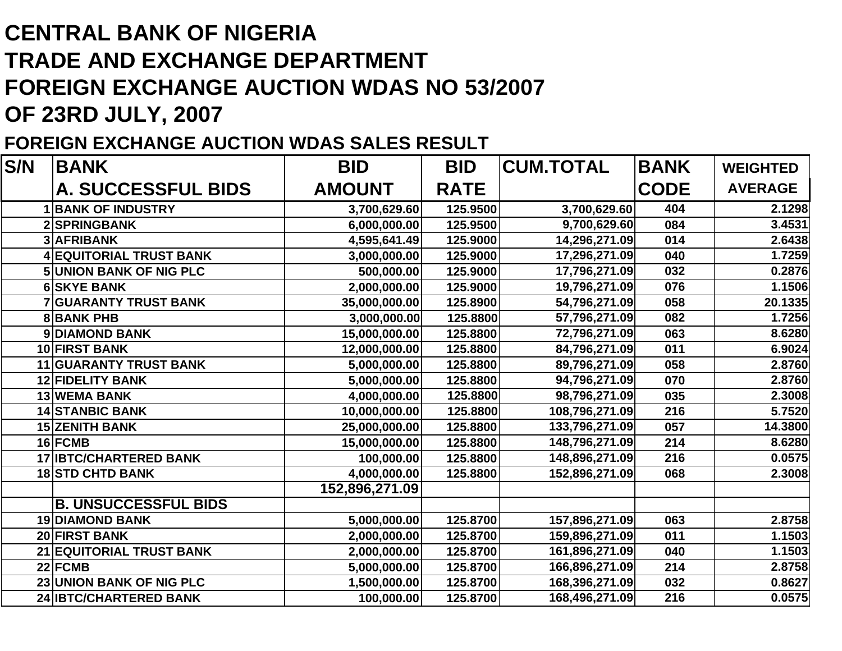## **CENTRAL BANK OF NIGERIATRADE AND EXCHANGE DEPARTMENTFOREIGN EXCHANGE AUCTION WDAS NO 53/2007 OF 23RD JULY, 2007**

## **FOREIGN EXCHANGE AUCTION WDAS SALES RESULT**

| S/N | <b>BANK</b>                    | <b>BID</b>     | <b>BID</b>  | <b>CUM.TOTAL</b> | <b>BANK</b> | <b>WEIGHTED</b> |
|-----|--------------------------------|----------------|-------------|------------------|-------------|-----------------|
|     | <b>A. SUCCESSFUL BIDS</b>      | <b>AMOUNT</b>  | <b>RATE</b> |                  | <b>CODE</b> | <b>AVERAGE</b>  |
|     | <b>1 BANK OF INDUSTRY</b>      | 3,700,629.60   | 125.9500    | 3,700,629.60     | 404         | 2.1298          |
|     | 2 SPRINGBANK                   | 6,000,000.00   | 125.9500    | 9,700,629.60     | 084         | 3.4531          |
|     | <b>3 AFRIBANK</b>              | 4,595,641.49   | 125.9000    | 14,296,271.09    | 014         | 2.6438          |
|     | <b>4 EQUITORIAL TRUST BANK</b> | 3,000,000.00   | 125.9000    | 17,296,271.09    | 040         | 1.7259          |
|     | <b>5 UNION BANK OF NIG PLC</b> | 500,000.00     | 125.9000    | 17,796,271.09    | 032         | 0.2876          |
|     | <b>6 SKYE BANK</b>             | 2,000,000.00   | 125.9000    | 19,796,271.09    | 076         | 1.1506          |
|     | <b>7 GUARANTY TRUST BANK</b>   | 35,000,000.00  | 125.8900    | 54,796,271.09    | 058         | 20.1335         |
|     | <b>8BANK PHB</b>               | 3,000,000.00   | 125.8800    | 57,796,271.09    | 082         | 1.7256          |
|     | 9 DIAMOND BANK                 | 15,000,000.00  | 125.8800    | 72,796,271.09    | 063         | 8.6280          |
|     | 10 FIRST BANK                  | 12,000,000.00  | 125.8800    | 84,796,271.09    | 011         | 6.9024          |
|     | <b>11 GUARANTY TRUST BANK</b>  | 5,000,000.00   | 125.8800    | 89,796,271.09    | 058         | 2.8760          |
|     | <b>12 FIDELITY BANK</b>        | 5,000,000.00   | 125.8800    | 94,796,271.09    | 070         | 2.8760          |
|     | <b>13 WEMA BANK</b>            | 4,000,000.00   | 125.8800    | 98,796,271.09    | 035         | 2.3008          |
|     | <b>14 STANBIC BANK</b>         | 10,000,000.00  | 125.8800    | 108,796,271.09   | 216         | 5.7520          |
|     | <b>15 ZENITH BANK</b>          | 25,000,000.00  | 125.8800    | 133,796,271.09   | 057         | 14.3800         |
|     | 16 FCMB                        | 15,000,000.00  | 125.8800    | 148,796,271.09   | 214         | 8.6280          |
|     | <b>17 IBTC/CHARTERED BANK</b>  | 100,000.00     | 125.8800    | 148,896,271.09   | 216         | 0.0575          |
|     | <b>18 STD CHTD BANK</b>        | 4,000,000.00   | 125.8800    | 152,896,271.09   | 068         | 2.3008          |
|     |                                | 152,896,271.09 |             |                  |             |                 |
|     | <b>B. UNSUCCESSFUL BIDS</b>    |                |             |                  |             |                 |
|     | <b>19 DIAMOND BANK</b>         | 5,000,000.00   | 125.8700    | 157,896,271.09   | 063         | 2.8758          |
|     | 20 FIRST BANK                  | 2,000,000.00   | 125.8700    | 159,896,271.09   | 011         | 1.1503          |
|     | 21 EQUITORIAL TRUST BANK       | 2,000,000.00   | 125.8700    | 161,896,271.09   | 040         | 1.1503          |
|     | 22 FCMB                        | 5,000,000.00   | 125.8700    | 166,896,271.09   | 214         | 2.8758          |
|     | 23 UNION BANK OF NIG PLC       | 1,500,000.00   | 125.8700    | 168,396,271.09   | 032         | 0.8627          |
|     | 24 IBTC/CHARTERED BANK         | 100,000.00     | 125.8700    | 168,496,271.09   | 216         | 0.0575          |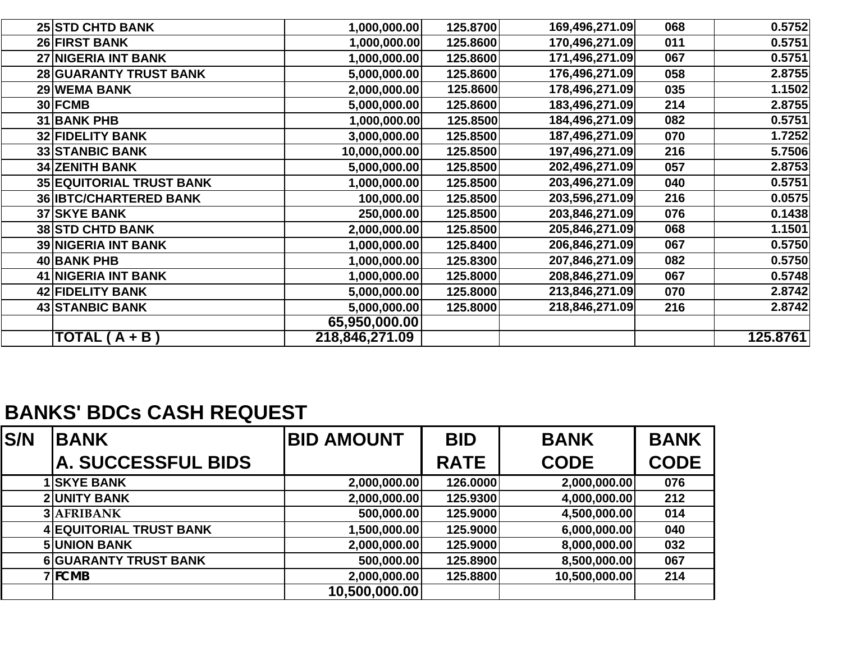| <b>25 STD CHTD BANK</b><br><b>26 FIRST BANK</b> | 1,000,000.00   | 125.8700 | 169,496,271.09 | 068 | 0.5752   |
|-------------------------------------------------|----------------|----------|----------------|-----|----------|
|                                                 |                |          |                |     |          |
|                                                 | 1,000,000.00   | 125.8600 | 170,496,271.09 | 011 | 0.5751   |
| <b>27 NIGERIA INT BANK</b>                      | 1,000,000.00   | 125.8600 | 171,496,271.09 | 067 | 0.5751   |
| <b>28 GUARANTY TRUST BANK</b>                   | 5,000,000.00   | 125.8600 | 176,496,271.09 | 058 | 2.8755   |
| 29 WEMA BANK                                    | 2,000,000.00   | 125.8600 | 178,496,271.09 | 035 | 1.1502   |
| 30 FCMB                                         | 5,000,000.00   | 125.8600 | 183,496,271.09 | 214 | 2.8755   |
| 31 BANK PHB                                     | 1,000,000.00   | 125.8500 | 184,496,271.09 | 082 | 0.5751   |
| <b>32 FIDELITY BANK</b>                         | 3,000,000.00   | 125.8500 | 187,496,271.09 | 070 | 1.7252   |
| <b>33 STANBIC BANK</b>                          | 10,000,000.00  | 125.8500 | 197,496,271.09 | 216 | 5.7506   |
| <b>34 ZENITH BANK</b>                           | 5,000,000.00   | 125.8500 | 202,496,271.09 | 057 | 2.8753   |
| <b>35 EQUITORIAL TRUST BANK</b>                 | 1,000,000.00   | 125.8500 | 203,496,271.09 | 040 | 0.5751   |
| <b>36 IBTC/CHARTERED BANK</b>                   | 100,000.00     | 125.8500 | 203,596,271.09 | 216 | 0.0575   |
| <b>37 SKYE BANK</b>                             | 250,000.00     | 125.8500 | 203,846,271.09 | 076 | 0.1438   |
| <b>38 STD CHTD BANK</b>                         | 2,000,000.00   | 125.8500 | 205,846,271.09 | 068 | 1.1501   |
| <b>39 NIGERIA INT BANK</b>                      | 1,000,000.00   | 125.8400 | 206,846,271.09 | 067 | 0.5750   |
| 40 BANK PHB                                     | 1,000,000.00   | 125.8300 | 207,846,271.09 | 082 | 0.5750   |
| <b>41 NIGERIA INT BANK</b>                      | 1,000,000.00   | 125.8000 | 208,846,271.09 | 067 | 0.5748   |
| 42 FIDELITY BANK                                | 5,000,000.00   | 125.8000 | 213,846,271.09 | 070 | 2.8742   |
| <b>43 STANBIC BANK</b>                          | 5,000,000.00   | 125.8000 | 218,846,271.09 | 216 | 2.8742   |
|                                                 | 65,950,000.00  |          |                |     |          |
| TOTAL (A + B)                                   | 218,846,271.09 |          |                |     | 125.8761 |

## **BANKS' BDCs CASH REQUEST**

| S/N | <b>BANK</b>                    | <b>BID AMOUNT</b> | <b>BID</b>  | <b>BANK</b>   | <b>BANK</b> |
|-----|--------------------------------|-------------------|-------------|---------------|-------------|
|     | <b>A. SUCCESSFUL BIDS</b>      |                   | <b>RATE</b> | <b>CODE</b>   | <b>CODE</b> |
|     | <b>SKYE BANK</b>               | 2,000,000.00      | 126.0000    | 2,000,000.00  | 076         |
|     | <b>2 UNITY BANK</b>            | 2,000,000.00      | 125.9300    | 4,000,000.00  | 212         |
|     | 3 AFRIBANK                     | 500,000.00        | 125.9000    | 4,500,000.00  | 014         |
|     | <b>4 EQUITORIAL TRUST BANK</b> | 1,500,000.00      | 125.9000    | 6,000,000.00  | 040         |
|     | <b>5UNION BANK</b>             | 2,000,000.00      | 125.9000    | 8,000,000.00  | 032         |
|     | <b>6 GUARANTY TRUST BANK</b>   | 500,000.00        | 125.8900    | 8,500,000.00  | 067         |
|     | <b>7</b> FCMB                  | 2,000,000.00      | 125.8800    | 10,500,000.00 | 214         |
|     |                                | 10,500,000.00     |             |               |             |